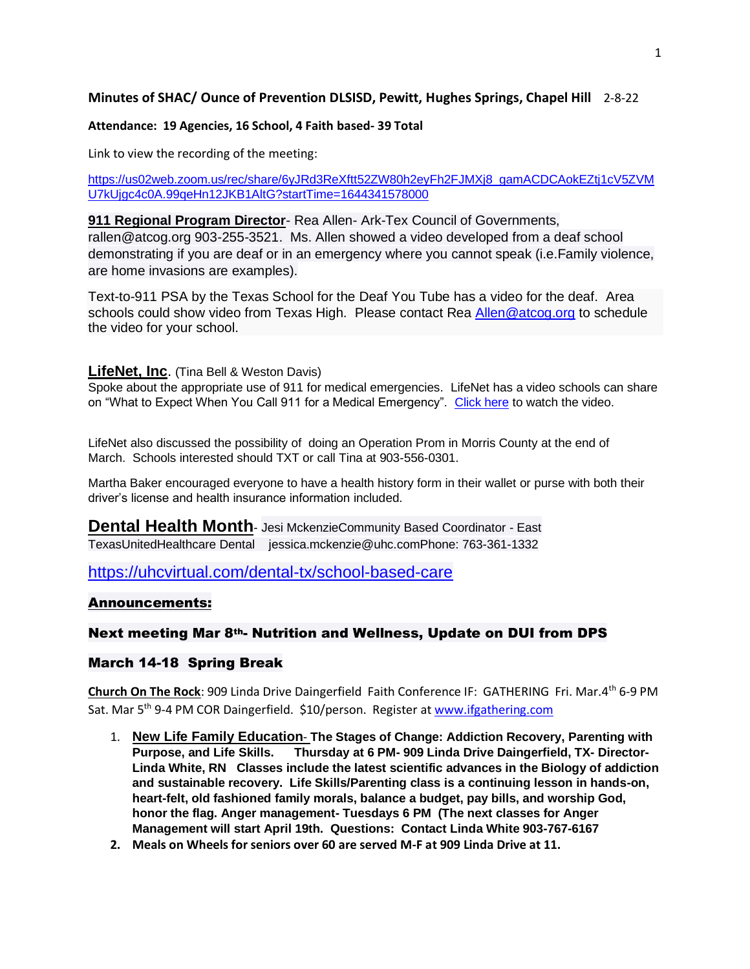# **Minutes of SHAC/ Ounce of Prevention DLSISD, Pewitt, Hughes Springs, Chapel Hill** 2-8-22

#### **Attendance: 19 Agencies, 16 School, 4 Faith based- 39 Total**

Link to view the recording of the meeting:

[https://us02web.zoom.us/rec/share/6yJRd3ReXftt52ZW80h2eyFh2FJMXj8\\_gamACDCAokEZtj1cV5ZVM](https://us02web.zoom.us/rec/share/6yJRd3ReXftt52ZW80h2eyFh2FJMXj8_gamACDCAokEZtj1cV5ZVMU7kUjgc4c0A.99qeHn12JKB1AltG?startTime=1644341578000) [U7kUjgc4c0A.99qeHn12JKB1AltG?startTime=1644341578000](https://us02web.zoom.us/rec/share/6yJRd3ReXftt52ZW80h2eyFh2FJMXj8_gamACDCAokEZtj1cV5ZVMU7kUjgc4c0A.99qeHn12JKB1AltG?startTime=1644341578000)

## **911 Regional Program Director**- Rea Allen- Ark-Tex Council of Governments, rallen@atcog.org 903-255-3521. Ms. Allen showed a video developed from a deaf school demonstrating if you are deaf or in an emergency where you cannot speak (i.e.Family violence, are home invasions are examples).

Text-to-911 PSA by the Texas School for the Deaf You Tube has a video for the deaf. Area schools could show video from Texas High. Please contact Rea [Allen@atcog.org](mailto:Allen@atcog.org) to schedule the video for your school.

### **LifeNet, Inc**. (Tina Bell & Weston Davis)

Spoke about the appropriate use of 911 for medical emergencies. LifeNet has a video schools can share on "What to Expect When You Call 911 for a Medical Emergency". [Click here](https://www.lifenetems.org/911call/) to watch the video.

LifeNet also discussed the possibility of doing an Operation Prom in Morris County at the end of March. Schools interested should TXT or call Tina at 903-556-0301.

Martha Baker encouraged everyone to have a health history form in their wallet or purse with both their driver's license and health insurance information included.

**Dental Health Month-** Jesi MckenzieCommunity Based Coordinator - East TexasUnitedHealthcare Dental jessica.mckenzie@uhc.comPhone: 763-361-1332

<https://uhcvirtual.com/dental-tx/school-based-care>

### Announcements:

### Next meeting Mar 8th- Nutrition and Wellness, Update on DUI from DPS

### March 14-18 Spring Break

**Church On The Rock**: 909 Linda Drive Daingerfield Faith Conference IF: GATHERING Fri. Mar.4th 6-9 PM Sat. Mar 5th 9-4 PM COR Daingerfield. \$10/person. Register at [www.ifgathering.com](http://www.ifgathering.com/)

- 1. **New Life Family Education The Stages of Change: Addiction Recovery, Parenting with Purpose, and Life Skills. Thursday at 6 PM- 909 Linda Drive Daingerfield, TX- Director-Linda White, RN Classes include the latest scientific advances in the Biology of addiction and sustainable recovery. Life Skills/Parenting class is a continuing lesson in hands-on, heart-felt, old fashioned family morals, balance a budget, pay bills, and worship God, honor the flag. Anger management- Tuesdays 6 PM (The next classes for Anger Management will start April 19th. Questions: Contact Linda White 903-767-6167**
- **2. Meals on Wheels for seniors over 60 are served M-F at 909 Linda Drive at 11.**